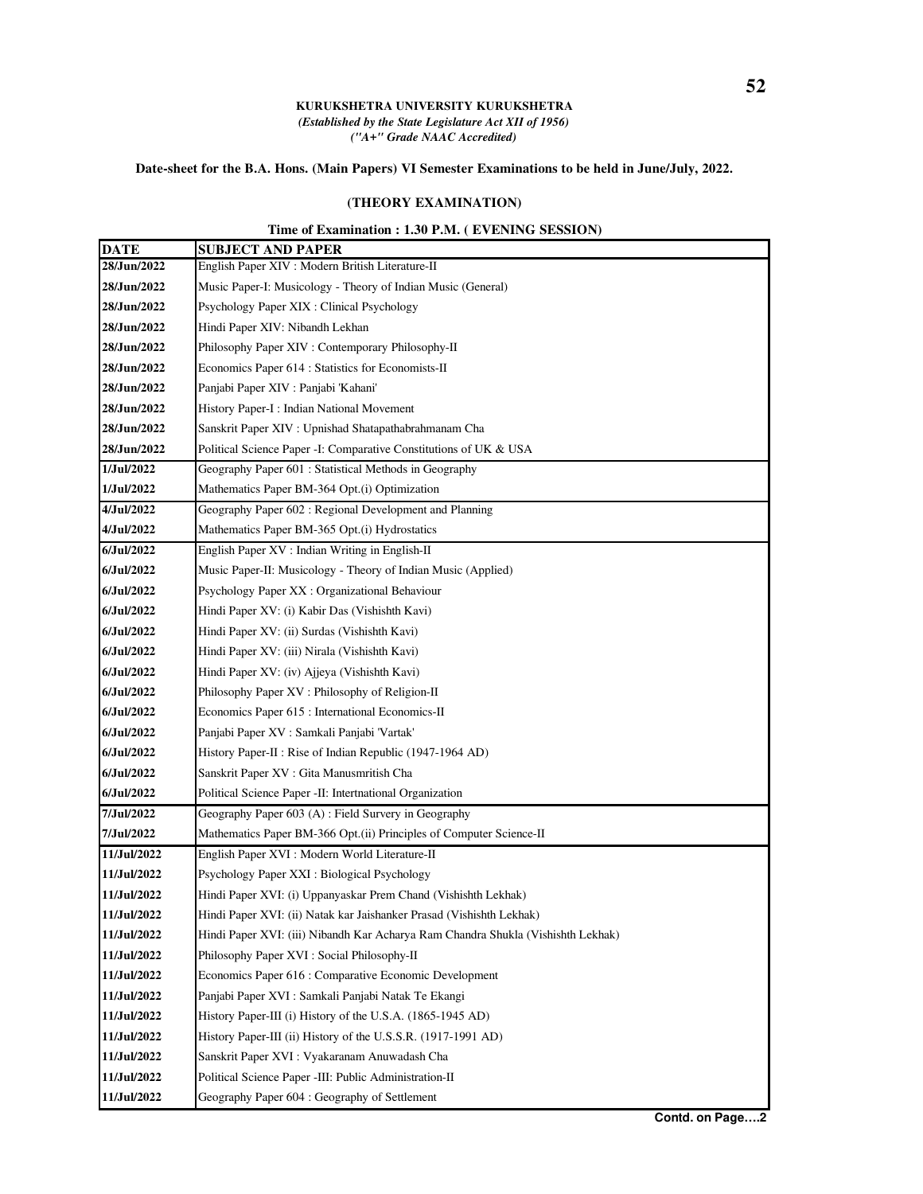## **KURUKSHETRA UNIVERSITY KURUKSHETRA** *(Established by the State Legislature Act XII of 1956) ("A+" Grade NAAC Accredited)*

## **Date-sheet for the B.A. Hons. (Main Papers) VI Semester Examinations to be held in June/July, 2022.**

## **(THEORY EXAMINATION)**

## **Time of Examination : 1.30 P.M. ( EVENING SESSION)**

| <b>DATE</b>   | <b>SUBJECT AND PAPER</b>                                                         |
|---------------|----------------------------------------------------------------------------------|
| 28/Jun/2022   | English Paper XIV : Modern British Literature-II                                 |
| 28/Jun/2022   | Music Paper-I: Musicology - Theory of Indian Music (General)                     |
| 28/Jun/2022   | Psychology Paper XIX : Clinical Psychology                                       |
| 28/Jun/2022   | Hindi Paper XIV: Nibandh Lekhan                                                  |
| 28/Jun/2022   | Philosophy Paper XIV : Contemporary Philosophy-II                                |
| 28/Jun/2022   | Economics Paper 614 : Statistics for Economists-II                               |
| 28/Jun/2022   | Panjabi Paper XIV : Panjabi 'Kahani'                                             |
| 28/Jun/2022   | History Paper-I: Indian National Movement                                        |
| 28/Jun/2022   | Sanskrit Paper XIV : Upnishad Shatapathabrahmanam Cha                            |
| 28/Jun/2022   | Political Science Paper - I: Comparative Constitutions of UK & USA               |
| 1/Jul/2022    | Geography Paper 601 : Statistical Methods in Geography                           |
| 1/Jul/2022    | Mathematics Paper BM-364 Opt.(i) Optimization                                    |
| 4/Jul/2022    | Geography Paper 602: Regional Development and Planning                           |
| 4/Jul/2022    | Mathematics Paper BM-365 Opt.(i) Hydrostatics                                    |
| 6/Jul/2022    | English Paper XV : Indian Writing in English-II                                  |
| 6/Jul/2022    | Music Paper-II: Musicology - Theory of Indian Music (Applied)                    |
| 6/Jul/2022    | Psychology Paper XX : Organizational Behaviour                                   |
| 6/Jul/2022    | Hindi Paper XV: (i) Kabir Das (Vishishth Kavi)                                   |
| 6/Jul/2022    | Hindi Paper XV: (ii) Surdas (Vishishth Kavi)                                     |
| $6/J$ ul/2022 | Hindi Paper XV: (iii) Nirala (Vishishth Kavi)                                    |
| $6/J$ ul/2022 | Hindi Paper XV: (iv) Ajjeya (Vishishth Kavi)                                     |
| 6/Jul/2022    | Philosophy Paper XV : Philosophy of Religion-II                                  |
| $6/J$ ul/2022 | Economics Paper 615 : International Economics-II                                 |
| $6/J$ ul/2022 | Panjabi Paper XV : Samkali Panjabi 'Vartak'                                      |
| 6/Jul/2022    | History Paper-II : Rise of Indian Republic (1947-1964 AD)                        |
| 6/Jul/2022    | Sanskrit Paper XV : Gita Manusmritish Cha                                        |
| 6/Jul/2022    | Political Science Paper - II: Intertnational Organization                        |
| 7/Jul/2022    | Geography Paper 603 (A): Field Survery in Geography                              |
| 7/Jul/2022    | Mathematics Paper BM-366 Opt.(ii) Principles of Computer Science-II              |
| 11/Jul/2022   | English Paper XVI : Modern World Literature-II                                   |
| 11/Jul/2022   | Psychology Paper XXI : Biological Psychology                                     |
| 11/Jul/2022   | Hindi Paper XVI: (i) Uppanyaskar Prem Chand (Vishishth Lekhak)                   |
| 11/Jul/2022   | Hindi Paper XVI: (ii) Natak kar Jaishanker Prasad (Vishishth Lekhak)             |
| 11/Jul/2022   | Hindi Paper XVI: (iii) Nibandh Kar Acharya Ram Chandra Shukla (Vishishth Lekhak) |
| 11/Jul/2022   | Philosophy Paper XVI : Social Philosophy-II                                      |
| 11/Jul/2022   | Economics Paper 616 : Comparative Economic Development                           |
| 11/Jul/2022   | Panjabi Paper XVI : Samkali Panjabi Natak Te Ekangi                              |
| 11/Jul/2022   | History Paper-III (i) History of the U.S.A. (1865-1945 AD)                       |
| 11/Jul/2022   | History Paper-III (ii) History of the U.S.S.R. (1917-1991 AD)                    |
| 11/Jul/2022   | Sanskrit Paper XVI : Vyakaranam Anuwadash Cha                                    |
| 11/Jul/2022   | Political Science Paper -III: Public Administration-II                           |
| 11/Jul/2022   | Geography Paper 604 : Geography of Settlement                                    |